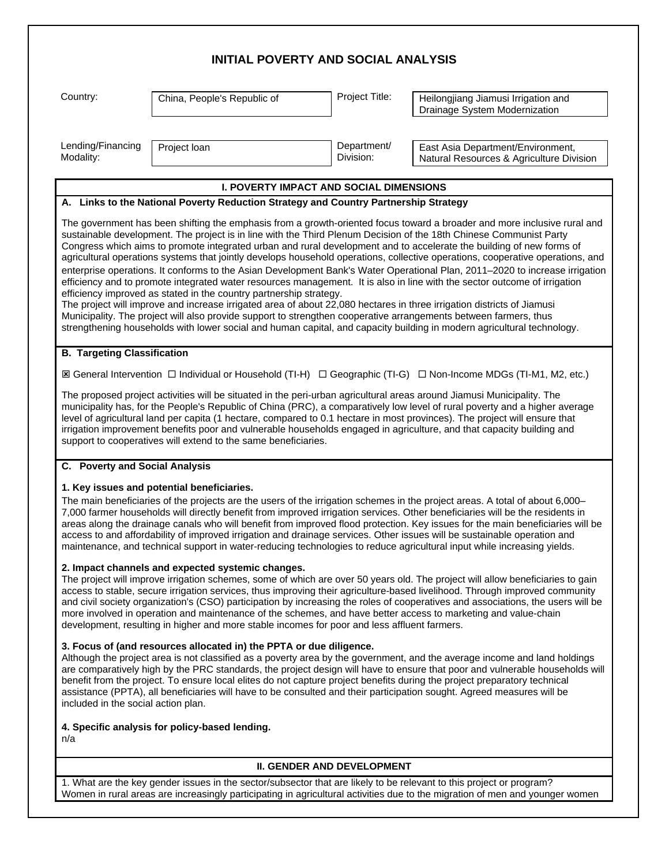|  |  | <b>INITIAL POVERTY AND SOCIAL ANALYSIS</b> |  |
|--|--|--------------------------------------------|--|
|--|--|--------------------------------------------|--|

Country: China, People's Republic of Project Title: Heilongjiang Jiamusi Irrigation and Drainage System Modernization

Lending/Financing Modality:

Project loan Department/ Division:

East Asia Department/Environment, Natural Resources & Agriculture Division

### **I. POVERTY IMPACT AND SOCIAL DIMENSIONS**

### **A. Links to the National Poverty Reduction Strategy and Country Partnership Strategy**

The government has been shifting the emphasis from a growth-oriented focus toward a broader and more inclusive rural and sustainable development. The project is in line with the Third Plenum Decision of the 18th Chinese Communist Party Congress which aims to promote integrated urban and rural development and to accelerate the building of new forms of agricultural operations systems that jointly develops household operations, collective operations, cooperative operations, and enterprise operations. It conforms to the Asian Development Bank's Water Operational Plan, 2011–2020 to increase irrigation efficiency and to promote integrated water resources management. It is also in line with the sector outcome of irrigation efficiency improved as stated in the country partnership strategy.

The project will improve and increase irrigated area of about 22,080 hectares in three irrigation districts of Jiamusi Municipality. The project will also provide support to strengthen cooperative arrangements between farmers, thus strengthening households with lower social and human capital, and capacity building in modern agricultural technology.

#### **B. Targeting Classification**

ý General Intervention ¨ Individual or Household (TI-H) ¨ Geographic (TI-G) ¨ Non-Income MDGs (TI-M1, M2, etc.)

The proposed project activities will be situated in the peri-urban agricultural areas around Jiamusi Municipality. The municipality has, for the People's Republic of China (PRC), a comparatively low level of rural poverty and a higher average level of agricultural land per capita (1 hectare, compared to 0.1 hectare in most provinces). The project will ensure that irrigation improvement benefits poor and vulnerable households engaged in agriculture, and that capacity building and support to cooperatives will extend to the same beneficiaries.

#### **C. Poverty and Social Analysis**

# **1. Key issues and potential beneficiaries.**

The main beneficiaries of the projects are the users of the irrigation schemes in the project areas. A total of about 6,000– 7,000 farmer households will directly benefit from improved irrigation services. Other beneficiaries will be the residents in areas along the drainage canals who will benefit from improved flood protection. Key issues for the main beneficiaries will be access to and affordability of improved irrigation and drainage services. Other issues will be sustainable operation and maintenance, and technical support in water-reducing technologies to reduce agricultural input while increasing yields.

#### **2. Impact channels and expected systemic changes.**

The project will improve irrigation schemes, some of which are over 50 years old. The project will allow beneficiaries to gain access to stable, secure irrigation services, thus improving their agriculture-based livelihood. Through improved community and civil society organization's (CSO) participation by increasing the roles of cooperatives and associations, the users will be more involved in operation and maintenance of the schemes, and have better access to marketing and value-chain development, resulting in higher and more stable incomes for poor and less affluent farmers.

#### **3. Focus of (and resources allocated in) the PPTA or due diligence.**

Although the project area is not classified as a poverty area by the government, and the average income and land holdings are comparatively high by the PRC standards, the project design will have to ensure that poor and vulnerable households will benefit from the project. To ensure local elites do not capture project benefits during the project preparatory technical assistance (PPTA), all beneficiaries will have to be consulted and their participation sought. Agreed measures will be included in the social action plan.

# **4. Specific analysis for policy-based lending.**

n/a

# **II. GENDER AND DEVELOPMENT**

1. What are the key gender issues in the sector/subsector that are likely to be relevant to this project or program? Women in rural areas are increasingly participating in agricultural activities due to the migration of men and younger women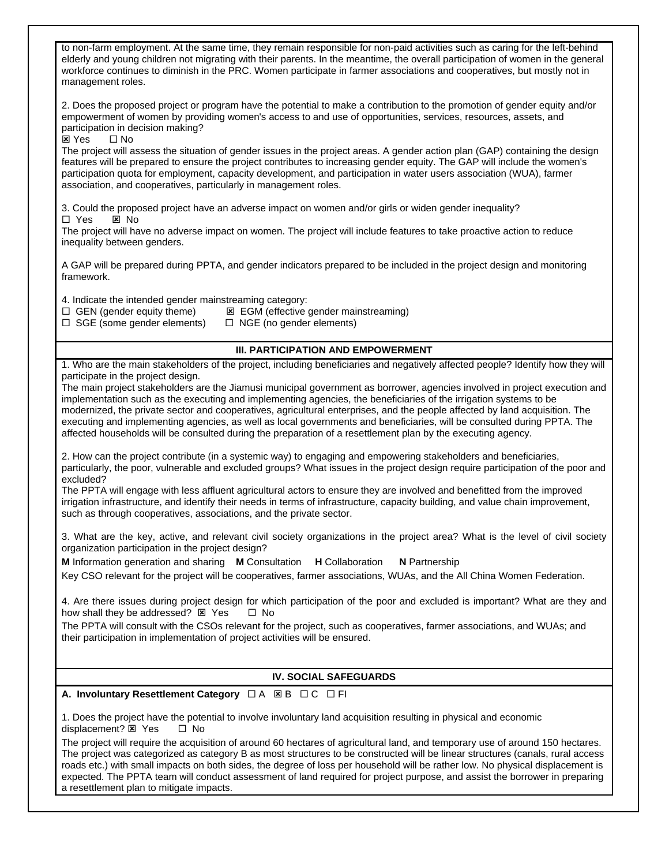to non-farm employment. At the same time, they remain responsible for non-paid activities such as caring for the left-behind elderly and young children not migrating with their parents. In the meantime, the overall participation of women in the general workforce continues to diminish in the PRC. Women participate in farmer associations and cooperatives, but mostly not in management roles.

2. Does the proposed project or program have the potential to make a contribution to the promotion of gender equity and/or empowerment of women by providing women's access to and use of opportunities, services, resources, assets, and participation in decision making?

**⊠** Yes □ No

The project will assess the situation of gender issues in the project areas. A gender action plan (GAP) containing the design features will be prepared to ensure the project contributes to increasing gender equity. The GAP will include the women's participation quota for employment, capacity development, and participation in water users association (WUA), farmer association, and cooperatives, particularly in management roles.

3. Could the proposed project have an adverse impact on women and/or girls or widen gender inequality?

 $\square$  Yes  $\square$  No

The project will have no adverse impact on women. The project will include features to take proactive action to reduce inequality between genders.

A GAP will be prepared during PPTA, and gender indicators prepared to be included in the project design and monitoring framework.

4. Indicate the intended gender mainstreaming category:

- $\Box$  GEN (gender equity theme)  $\Box$  EGM (effective gender mainstreaming)
- $\Box$  SGE (some gender elements)  $\Box$  NGE (no gender elements)

# **III. PARTICIPATION AND EMPOWERMENT**

1. Who are the main stakeholders of the project, including beneficiaries and negatively affected people? Identify how they will participate in the project design.

The main project stakeholders are the Jiamusi municipal government as borrower, agencies involved in project execution and implementation such as the executing and implementing agencies, the beneficiaries of the irrigation systems to be modernized, the private sector and cooperatives, agricultural enterprises, and the people affected by land acquisition. The executing and implementing agencies, as well as local governments and beneficiaries, will be consulted during PPTA. The affected households will be consulted during the preparation of a resettlement plan by the executing agency.

2. How can the project contribute (in a systemic way) to engaging and empowering stakeholders and beneficiaries, particularly, the poor, vulnerable and excluded groups? What issues in the project design require participation of the poor and excluded?

The PPTA will engage with less affluent agricultural actors to ensure they are involved and benefitted from the improved irrigation infrastructure, and identify their needs in terms of infrastructure, capacity building, and value chain improvement, such as through cooperatives, associations, and the private sector.

3. What are the key, active, and relevant civil society organizations in the project area? What is the level of civil society organization participation in the project design?

**M** Information generation and sharing **M** Consultation **H** Collaboration **N** Partnership Key CSO relevant for the project will be cooperatives, farmer associations, WUAs, and the All China Women Federation.

4. Are there issues during project design for which participation of the poor and excluded is important? What are they and how shall they be addressed?  $\boxtimes$  Yes  $\Box$  No

The PPTA will consult with the CSOs relevant for the project, such as cooperatives, farmer associations, and WUAs; and their participation in implementation of project activities will be ensured.

# **IV. SOCIAL SAFEGUARDS**

**A. Involuntary Resettlement Category** □ A 図 B □ C □ FI

1. Does the project have the potential to involve involuntary land acquisition resulting in physical and economic displacement?  $\boxtimes$  Yes  $\Box$  No

The project will require the acquisition of around 60 hectares of agricultural land, and temporary use of around 150 hectares. The project was categorized as category B as most structures to be constructed will be linear structures (canals, rural access roads etc.) with small impacts on both sides, the degree of loss per household will be rather low. No physical displacement is expected. The PPTA team will conduct assessment of land required for project purpose, and assist the borrower in preparing a resettlement plan to mitigate impacts.